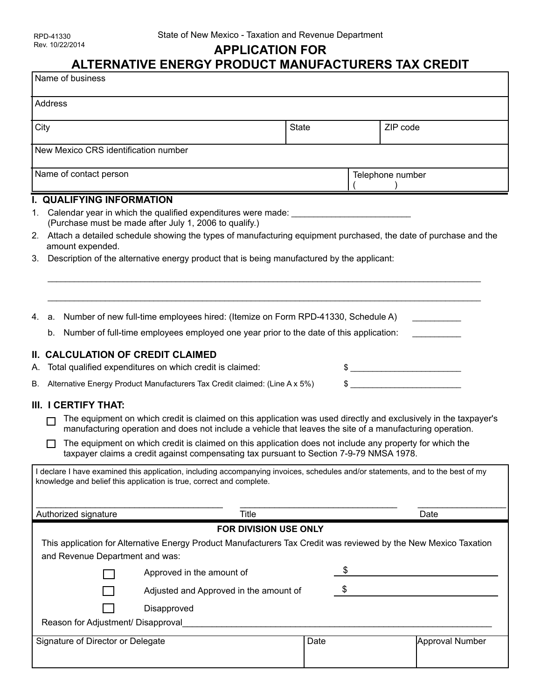### **APPLICATION FOR**

### **ALTERNATIVE ENERGY PRODUCT MANUFACTURERS TAX CREDIT**

| Name of business                                                                                                                                                                                                                                      |                  |  |                 |  |  |
|-------------------------------------------------------------------------------------------------------------------------------------------------------------------------------------------------------------------------------------------------------|------------------|--|-----------------|--|--|
| Address                                                                                                                                                                                                                                               |                  |  |                 |  |  |
| City                                                                                                                                                                                                                                                  | <b>State</b>     |  | ZIP code        |  |  |
| New Mexico CRS identification number                                                                                                                                                                                                                  |                  |  |                 |  |  |
| Name of contact person                                                                                                                                                                                                                                | Telephone number |  |                 |  |  |
| <b>I. QUALIFYING INFORMATION</b>                                                                                                                                                                                                                      |                  |  |                 |  |  |
| Calendar year in which the qualified expenditures were made: ___________________<br>1.<br>(Purchase must be made after July 1, 2006 to qualify.)                                                                                                      |                  |  |                 |  |  |
| Attach a detailed schedule showing the types of manufacturing equipment purchased, the date of purchase and the<br>2.<br>amount expended.                                                                                                             |                  |  |                 |  |  |
| Description of the alternative energy product that is being manufactured by the applicant:<br>3.                                                                                                                                                      |                  |  |                 |  |  |
|                                                                                                                                                                                                                                                       |                  |  |                 |  |  |
| a. Number of new full-time employees hired: (Itemize on Form RPD-41330, Schedule A)<br>4.                                                                                                                                                             |                  |  |                 |  |  |
| Number of full-time employees employed one year prior to the date of this application:<br>b.                                                                                                                                                          |                  |  |                 |  |  |
| <b>II. CALCULATION OF CREDIT CLAIMED</b>                                                                                                                                                                                                              |                  |  |                 |  |  |
| Total qualified expenditures on which credit is claimed:<br>А.                                                                                                                                                                                        |                  |  | $\frac{1}{2}$   |  |  |
| Alternative Energy Product Manufacturers Tax Credit claimed: (Line A x 5%)<br>В.                                                                                                                                                                      |                  |  | $\frac{1}{2}$   |  |  |
| III. I CERTIFY THAT:<br>The equipment on which credit is claimed on this application was used directly and exclusively in the taxpayer's<br>manufacturing operation and does not include a vehicle that leaves the site of a manufacturing operation. |                  |  |                 |  |  |
| The equipment on which credit is claimed on this application does not include any property for which the<br>taxpayer claims a credit against compensating tax pursuant to Section 7-9-79 NMSA 1978.                                                   |                  |  |                 |  |  |
| I declare I have examined this application, including accompanying invoices, schedules and/or statements, and to the best of my<br>knowledge and belief this application is true, correct and complete.                                               |                  |  |                 |  |  |
| Title<br>Authorized signature                                                                                                                                                                                                                         |                  |  | Date            |  |  |
| FOR DIVISION USE ONLY                                                                                                                                                                                                                                 |                  |  |                 |  |  |
| This application for Alternative Energy Product Manufacturers Tax Credit was reviewed by the New Mexico Taxation<br>and Revenue Department and was:                                                                                                   |                  |  |                 |  |  |
| Approved in the amount of                                                                                                                                                                                                                             |                  |  |                 |  |  |
| Adjusted and Approved in the amount of                                                                                                                                                                                                                | \$               |  |                 |  |  |
| Disapproved<br>Reason for Adjustment/ Disapproval_                                                                                                                                                                                                    |                  |  |                 |  |  |
|                                                                                                                                                                                                                                                       |                  |  |                 |  |  |
| Signature of Director or Delegate                                                                                                                                                                                                                     | Date             |  | Approval Number |  |  |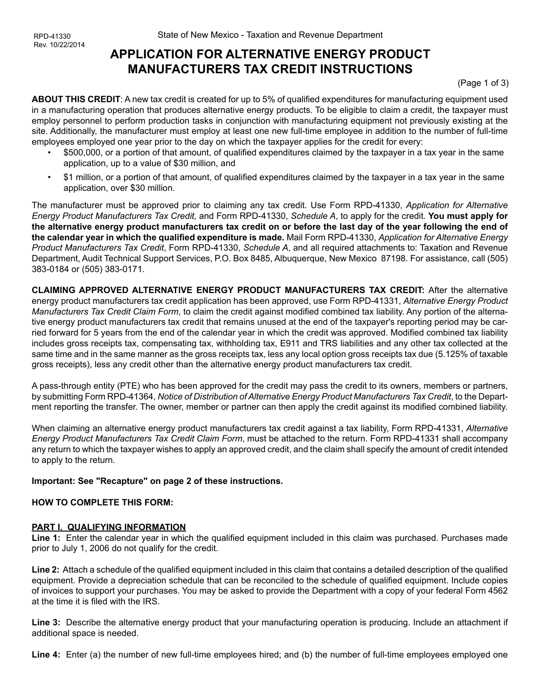# **APPLICATION FOR ALTERNATIVE ENERGY PRODUCT MANUFACTURERS TAX CREDIT INSTRUCTIONS**

(Page 1 of 3)

**ABOUT THIS CREDIT**: A new tax credit is created for up to 5% of qualified expenditures for manufacturing equipment used in a manufacturing operation that produces alternative energy products. To be eligible to claim a credit, the taxpayer must employ personnel to perform production tasks in conjunction with manufacturing equipment not previously existing at the site. Additionally, the manufacturer must employ at least one new full-time employee in addition to the number of full-time employees employed one year prior to the day on which the taxpayer applies for the credit for every:

- \$500,000, or a portion of that amount, of qualified expenditures claimed by the taxpayer in a tax year in the same application, up to a value of \$30 million, and
- \$1 million, or a portion of that amount, of qualified expenditures claimed by the taxpayer in a tax year in the same application, over \$30 million.

The manufacturer must be approved prior to claiming any tax credit. Use Form RPD-41330, *Application for Alternative Energy Product Manufacturers Tax Credit,* and Form RPD-41330, *Schedule A*, to apply for the credit. **You must apply for the alternative energy product manufacturers tax credit on or before the last day of the year following the end of the calendar year in which the qualified expenditure is made.** Mail Form RPD-41330, *Application for Alternative Energy Product Manufacturers Tax Credit*, Form RPD-41330, *Schedule A*, and all required attachments to: Taxation and Revenue Department, Audit Technical Support Services, P.O. Box 8485, Albuquerque, New Mexico 87198. For assistance, call (505) 383-0184 or (505) 383-0171.

**CLAIMING APPROVED ALTERNATIVE ENERGY PRODUCT MANUFACTURERS TAX CREDIT:** After the alternative energy product manufacturers tax credit application has been approved, use Form RPD-41331, *Alternative Energy Product Manufacturers Tax Credit Claim Form*, to claim the credit against modified combined tax liability. Any portion of the alternative energy product manufacturers tax credit that remains unused at the end of the taxpayer's reporting period may be carried forward for 5 years from the end of the calendar year in which the credit was approved. Modified combined tax liability includes gross receipts tax, compensating tax, withholding tax, E911 and TRS liabilities and any other tax collected at the same time and in the same manner as the gross receipts tax, less any local option gross receipts tax due (5.125% of taxable gross receipts), less any credit other than the alternative energy product manufacturers tax credit.

A pass-through entity (PTE) who has been approved for the credit may pass the credit to its owners, members or partners, by submitting Form RPD-41364, *Notice of Distribution of Alternative Energy Product Manufacturers Tax Credit*, to the Department reporting the transfer. The owner, member or partner can then apply the credit against its modified combined liability.

When claiming an alternative energy product manufacturers tax credit against a tax liability, Form RPD-41331, *Alternative Energy Product Manufacturers Tax Credit Claim Form*, must be attached to the return. Form RPD-41331 shall accompany any return to which the taxpayer wishes to apply an approved credit, and the claim shall specify the amount of credit intended to apply to the return.

#### **Important: See "Recapture" on page 2 of these instructions.**

#### **HOW TO COMPLETE THIS FORM:**

#### **PART I. QUALIFYING INFORMATION**

Line 1: Enter the calendar year in which the qualified equipment included in this claim was purchased. Purchases made prior to July 1, 2006 do not qualify for the credit.

**Line 2:** Attach a schedule of the qualified equipment included in this claim that contains a detailed description of the qualified equipment. Provide a depreciation schedule that can be reconciled to the schedule of qualified equipment. Include copies of invoices to support your purchases. You may be asked to provide the Department with a copy of your federal Form 4562 at the time it is filed with the IRS.

**Line 3:** Describe the alternative energy product that your manufacturing operation is producing. Include an attachment if additional space is needed.

**Line 4:** Enter (a) the number of new full-time employees hired; and (b) the number of full-time employees employed one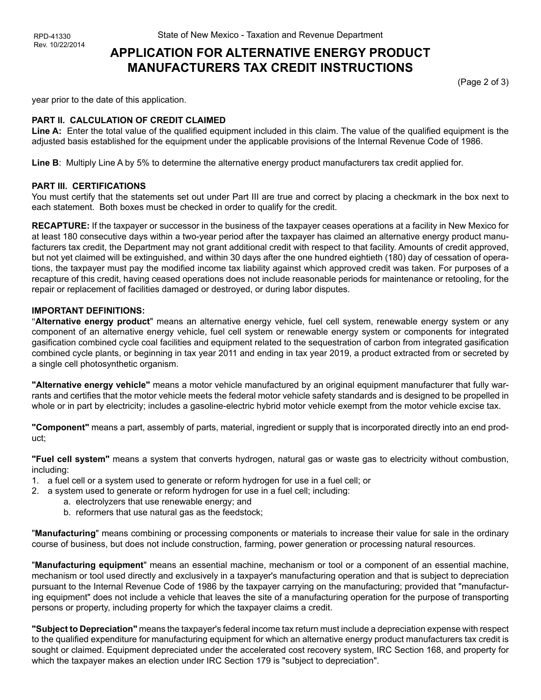# **APPLICATION FOR ALTERNATIVE ENERGY PRODUCT MANUFACTURERS TAX CREDIT INSTRUCTIONS**

(Page 2 of 3)

year prior to the date of this application.

#### **PART II. CALCULATION OF CREDIT CLAIMED**

Line A: Enter the total value of the qualified equipment included in this claim. The value of the qualified equipment is the adjusted basis established for the equipment under the applicable provisions of the Internal Revenue Code of 1986.

**Line B**: Multiply Line A by 5% to determine the alternative energy product manufacturers tax credit applied for.

#### **PART III. CERTIFICATIONS**

You must certify that the statements set out under Part III are true and correct by placing a checkmark in the box next to each statement. Both boxes must be checked in order to qualify for the credit.

**RECAPTURE:** If the taxpayer or successor in the business of the taxpayer ceases operations at a facility in New Mexico for at least 180 consecutive days within a two-year period after the taxpayer has claimed an alternative energy product manufacturers tax credit, the Department may not grant additional credit with respect to that facility. Amounts of credit approved, but not yet claimed will be extinguished, and within 30 days after the one hundred eightieth (180) day of cessation of operations, the taxpayer must pay the modified income tax liability against which approved credit was taken. For purposes of a recapture of this credit, having ceased operations does not include reasonable periods for maintenance or retooling, for the repair or replacement of facilities damaged or destroyed, or during labor disputes.

#### **IMPORTANT DEFINITIONS:**

"**Alternative energy product**" means an alternative energy vehicle, fuel cell system, renewable energy system or any component of an alternative energy vehicle, fuel cell system or renewable energy system or components for integrated gasification combined cycle coal facilities and equipment related to the sequestration of carbon from integrated gasification combined cycle plants, or beginning in tax year 2011 and ending in tax year 2019, a product extracted from or secreted by a single cell photosynthetic organism.

**"Alternative energy vehicle"** means a motor vehicle manufactured by an original equipment manufacturer that fully warrants and certifies that the motor vehicle meets the federal motor vehicle safety standards and is designed to be propelled in whole or in part by electricity; includes a gasoline-electric hybrid motor vehicle exempt from the motor vehicle excise tax.

**"Component"** means a part, assembly of parts, material, ingredient or supply that is incorporated directly into an end product;

**"Fuel cell system"** means a system that converts hydrogen, natural gas or waste gas to electricity without combustion, including:

- 1. a fuel cell or a system used to generate or reform hydrogen for use in a fuel cell; or
- 2. a system used to generate or reform hydrogen for use in a fuel cell; including:
	- a. electrolyzers that use renewable energy; and
	- b. reformers that use natural gas as the feedstock;

"**Manufacturing**" means combining or processing components or materials to increase their value for sale in the ordinary course of business, but does not include construction, farming, power generation or processing natural resources.

"**Manufacturing equipment**" means an essential machine, mechanism or tool or a component of an essential machine, mechanism or tool used directly and exclusively in a taxpayer's manufacturing operation and that is subject to depreciation pursuant to the Internal Revenue Code of 1986 by the taxpayer carrying on the manufacturing; provided that "manufacturing equipment" does not include a vehicle that leaves the site of a manufacturing operation for the purpose of transporting persons or property, including property for which the taxpayer claims a credit.

**"Subject to Depreciation"** means the taxpayer's federal income tax return must include a depreciation expense with respect to the qualified expenditure for manufacturing equipment for which an alternative energy product manufacturers tax credit is sought or claimed. Equipment depreciated under the accelerated cost recovery system, IRC Section 168, and property for which the taxpayer makes an election under IRC Section 179 is "subject to depreciation".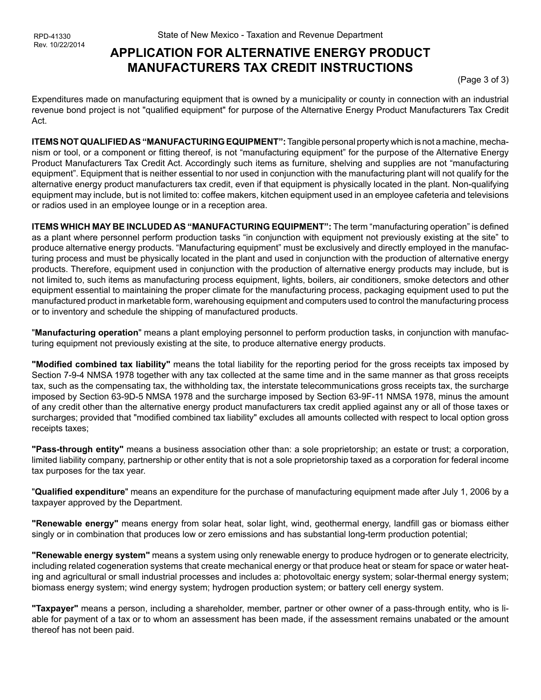# **APPLICATION FOR ALTERNATIVE ENERGY PRODUCT MANUFACTURERS TAX CREDIT INSTRUCTIONS**

(Page 3 of 3)

Expenditures made on manufacturing equipment that is owned by a municipality or county in connection with an industrial revenue bond project is not "qualified equipment" for purpose of the Alternative Energy Product Manufacturers Tax Credit Act.

**ITEMS NOT QUALIFIED AS "MANUFACTURING EQUIPMENT":** Tangible personal property which is not a machine, mechanism or tool, or a component or fitting thereof, is not "manufacturing equipment" for the purpose of the Alternative Energy Product Manufacturers Tax Credit Act. Accordingly such items as furniture, shelving and supplies are not "manufacturing equipment". Equipment that is neither essential to nor used in conjunction with the manufacturing plant will not qualify for the alternative energy product manufacturers tax credit, even if that equipment is physically located in the plant. Non-qualifying equipment may include, but is not limited to: coffee makers, kitchen equipment used in an employee cafeteria and televisions or radios used in an employee lounge or in a reception area.

**ITEMS WHICH MAY BE INCLUDED AS "MANUFACTURING EQUIPMENT":** The term "manufacturing operation" is defined as a plant where personnel perform production tasks "in conjunction with equipment not previously existing at the site" to produce alternative energy products. "Manufacturing equipment" must be exclusively and directly employed in the manufacturing process and must be physically located in the plant and used in conjunction with the production of alternative energy products. Therefore, equipment used in conjunction with the production of alternative energy products may include, but is not limited to, such items as manufacturing process equipment, lights, boilers, air conditioners, smoke detectors and other equipment essential to maintaining the proper climate for the manufacturing process, packaging equipment used to put the manufactured product in marketable form, warehousing equipment and computers used to control the manufacturing process or to inventory and schedule the shipping of manufactured products.

"**Manufacturing operation**" means a plant employing personnel to perform production tasks, in conjunction with manufacturing equipment not previously existing at the site, to produce alternative energy products.

**"Modified combined tax liability"** means the total liability for the reporting period for the gross receipts tax imposed by Section 7-9-4 NMSA 1978 together with any tax collected at the same time and in the same manner as that gross receipts tax, such as the compensating tax, the withholding tax, the interstate telecommunications gross receipts tax, the surcharge imposed by Section 63-9D-5 NMSA 1978 and the surcharge imposed by Section 63-9F-11 NMSA 1978, minus the amount of any credit other than the alternative energy product manufacturers tax credit applied against any or all of those taxes or surcharges; provided that "modified combined tax liability" excludes all amounts collected with respect to local option gross receipts taxes;

**"Pass-through entity"** means a business association other than: a sole proprietorship; an estate or trust; a corporation, limited liability company, partnership or other entity that is not a sole proprietorship taxed as a corporation for federal income tax purposes for the tax year.

"**Qualified expenditure**" means an expenditure for the purchase of manufacturing equipment made after July 1, 2006 by a taxpayer approved by the Department.

**"Renewable energy"** means energy from solar heat, solar light, wind, geothermal energy, landfill gas or biomass either singly or in combination that produces low or zero emissions and has substantial long-term production potential;

**"Renewable energy system"** means a system using only renewable energy to produce hydrogen or to generate electricity, including related cogeneration systems that create mechanical energy or that produce heat or steam for space or water heating and agricultural or small industrial processes and includes a: photovoltaic energy system; solar-thermal energy system; biomass energy system; wind energy system; hydrogen production system; or battery cell energy system.

**"Taxpayer"** means a person, including a shareholder, member, partner or other owner of a pass-through entity, who is liable for payment of a tax or to whom an assessment has been made, if the assessment remains unabated or the amount thereof has not been paid.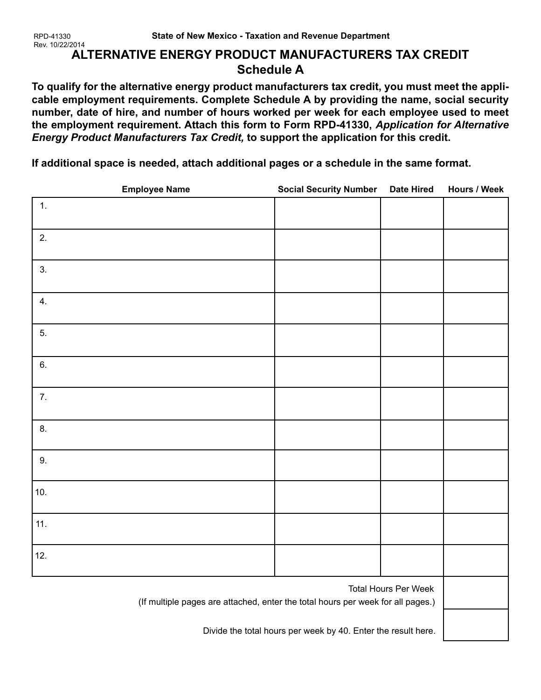# **ALTERNATIVE ENERGY PRODUCT MANUFACTURERS TAX CREDIT Schedule A**

**To qualify for the alternative energy product manufacturers tax credit, you must meet the applicable employment requirements. Complete Schedule A by providing the name, social security number, date of hire, and number of hours worked per week for each employee used to meet the employment requirement. Attach this form to Form RPD-41330,** *Application for Alternative Energy Product Manufacturers Tax Credit,* **to support the application for this credit.**

**If additional space is needed, attach additional pages or a schedule in the same format.**

| <b>Employee Name</b>                                                                                           | <b>Social Security Number</b> | <b>Date Hired</b> | Hours / Week |
|----------------------------------------------------------------------------------------------------------------|-------------------------------|-------------------|--------------|
| 1.                                                                                                             |                               |                   |              |
| 2.                                                                                                             |                               |                   |              |
| 3.                                                                                                             |                               |                   |              |
| 4.                                                                                                             |                               |                   |              |
| 5.                                                                                                             |                               |                   |              |
| 6.                                                                                                             |                               |                   |              |
| 7.                                                                                                             |                               |                   |              |
| 8.                                                                                                             |                               |                   |              |
| 9.                                                                                                             |                               |                   |              |
| 10.                                                                                                            |                               |                   |              |
| 11.                                                                                                            |                               |                   |              |
| 12.                                                                                                            |                               |                   |              |
| <b>Total Hours Per Week</b><br>(If multiple pages are attached, enter the total hours per week for all pages.) |                               |                   |              |
| Divide the total hours per week by 40. Enter the result here.                                                  |                               |                   |              |